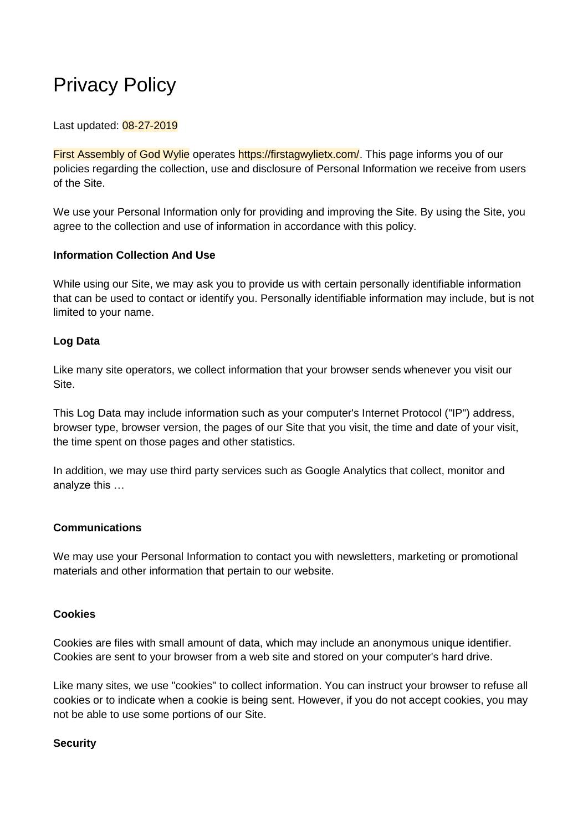# Privacy Policy

#### Last updated: 08-27-2019

First Assembly of God Wylie operates https://firstagwylietx.com/. This page informs you of our policies regarding the collection, use and disclosure of Personal Information we receive from users of the Site.

We use your Personal Information only for providing and improving the Site. By using the Site, you agree to the collection and use of information in accordance with this policy.

#### **Information Collection And Use**

While using our Site, we may ask you to provide us with certain personally identifiable information that can be used to contact or identify you. Personally identifiable information may include, but is not limited to your name.

## **Log Data**

Like many site operators, we collect information that your browser sends whenever you visit our Site.

This Log Data may include information such as your computer's Internet Protocol ("IP") address, browser type, browser version, the pages of our Site that you visit, the time and date of your visit, the time spent on those pages and other statistics.

In addition, we may use third party services such as Google Analytics that collect, monitor and analyze this …

## **Communications**

We may use your Personal Information to contact you with newsletters, marketing or promotional materials and other information that pertain to our website.

#### **Cookies**

Cookies are files with small amount of data, which may include an anonymous unique identifier. Cookies are sent to your browser from a web site and stored on your computer's hard drive.

Like many sites, we use "cookies" to collect information. You can instruct your browser to refuse all cookies or to indicate when a cookie is being sent. However, if you do not accept cookies, you may not be able to use some portions of our Site.

#### **Security**